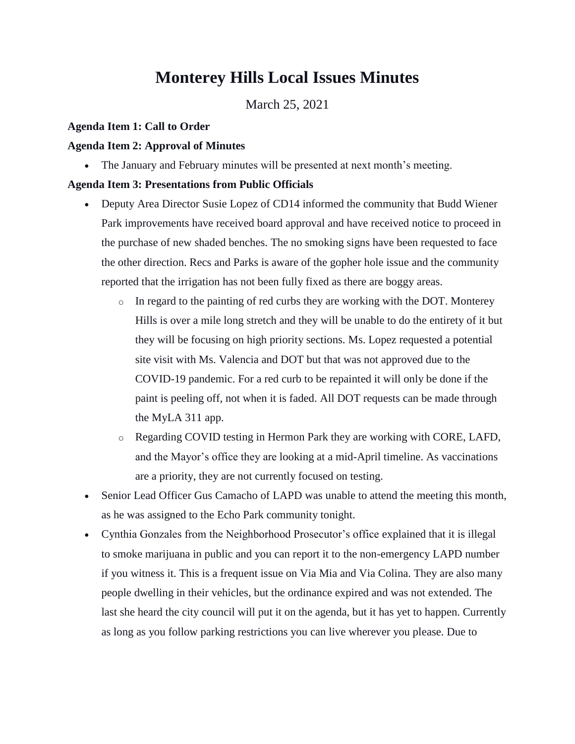# **Monterey Hills Local Issues Minutes**

March 25, 2021

#### **Agenda Item 1: Call to Order**

#### **Agenda Item 2: Approval of Minutes**

The January and February minutes will be presented at next month's meeting.

#### **Agenda Item 3: Presentations from Public Officials**

- Deputy Area Director Susie Lopez of CD14 informed the community that Budd Wiener Park improvements have received board approval and have received notice to proceed in the purchase of new shaded benches. The no smoking signs have been requested to face the other direction. Recs and Parks is aware of the gopher hole issue and the community reported that the irrigation has not been fully fixed as there are boggy areas.
	- $\circ$  In regard to the painting of red curbs they are working with the DOT. Monterey Hills is over a mile long stretch and they will be unable to do the entirety of it but they will be focusing on high priority sections. Ms. Lopez requested a potential site visit with Ms. Valencia and DOT but that was not approved due to the COVID-19 pandemic. For a red curb to be repainted it will only be done if the paint is peeling off, not when it is faded. All DOT requests can be made through the MyLA 311 app.
	- o Regarding COVID testing in Hermon Park they are working with CORE, LAFD, and the Mayor's office they are looking at a mid-April timeline. As vaccinations are a priority, they are not currently focused on testing.
- Senior Lead Officer Gus Camacho of LAPD was unable to attend the meeting this month, as he was assigned to the Echo Park community tonight.
- Cynthia Gonzales from the Neighborhood Prosecutor's office explained that it is illegal to smoke marijuana in public and you can report it to the non-emergency LAPD number if you witness it. This is a frequent issue on Via Mia and Via Colina. They are also many people dwelling in their vehicles, but the ordinance expired and was not extended. The last she heard the city council will put it on the agenda, but it has yet to happen. Currently as long as you follow parking restrictions you can live wherever you please. Due to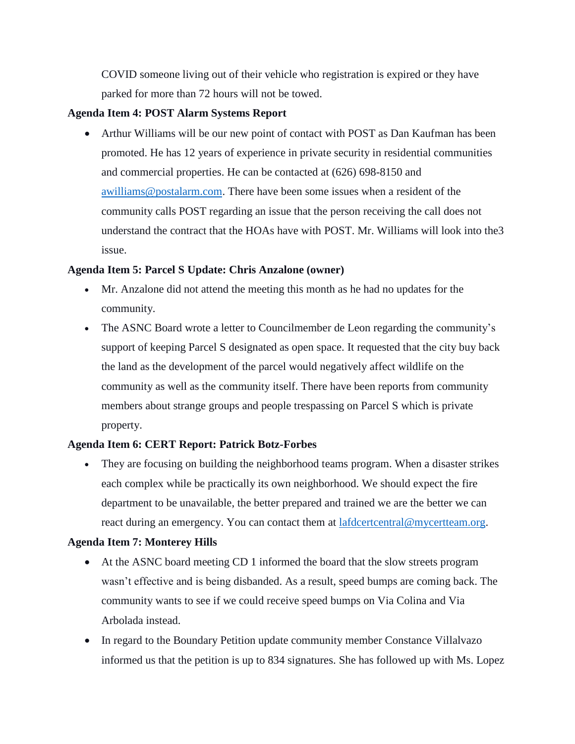COVID someone living out of their vehicle who registration is expired or they have parked for more than 72 hours will not be towed.

#### **Agenda Item 4: POST Alarm Systems Report**

 Arthur Williams will be our new point of contact with POST as Dan Kaufman has been promoted. He has 12 years of experience in private security in residential communities and commercial properties. He can be contacted at (626) 698-8150 and [awilliams@postalarm.com.](mailto:awilliams@postalarm.com) There have been some issues when a resident of the community calls POST regarding an issue that the person receiving the call does not understand the contract that the HOAs have with POST. Mr. Williams will look into the3 issue.

#### **Agenda Item 5: Parcel S Update: Chris Anzalone (owner)**

- Mr. Anzalone did not attend the meeting this month as he had no updates for the community.
- The ASNC Board wrote a letter to Councilmember de Leon regarding the community's support of keeping Parcel S designated as open space. It requested that the city buy back the land as the development of the parcel would negatively affect wildlife on the community as well as the community itself. There have been reports from community members about strange groups and people trespassing on Parcel S which is private property.

# **Agenda Item 6: CERT Report: Patrick Botz-Forbes**

 They are focusing on building the neighborhood teams program. When a disaster strikes each complex while be practically its own neighborhood. We should expect the fire department to be unavailable, the better prepared and trained we are the better we can react during an emergency. You can contact them at [lafdcertcentral@mycertteam.org.](mailto:lafdcertcentral@mycertteam.org)

# **Agenda Item 7: Monterey Hills**

- At the ASNC board meeting CD 1 informed the board that the slow streets program wasn't effective and is being disbanded. As a result, speed bumps are coming back. The community wants to see if we could receive speed bumps on Via Colina and Via Arbolada instead.
- In regard to the Boundary Petition update community member Constance Villalvazo informed us that the petition is up to 834 signatures. She has followed up with Ms. Lopez